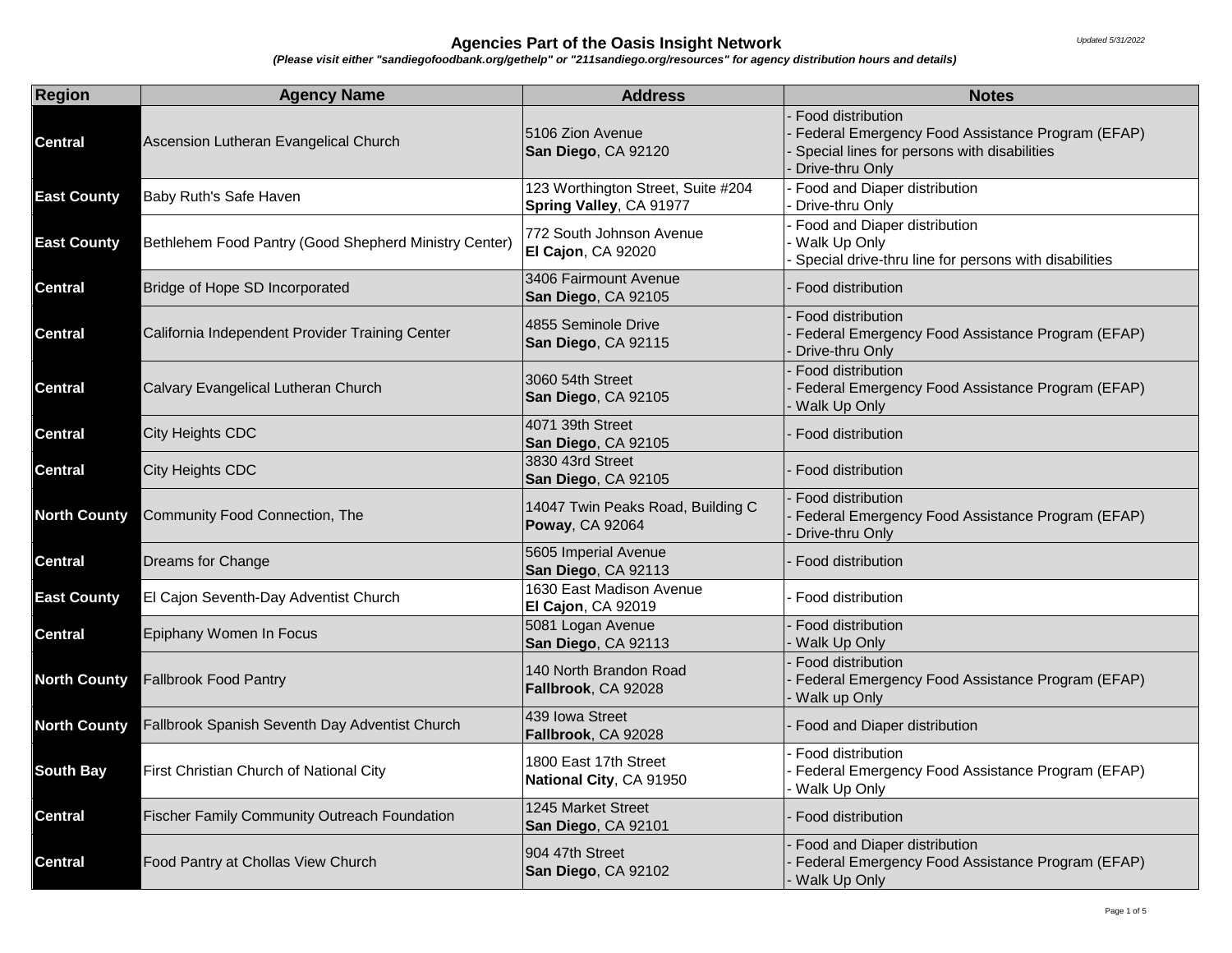| <b>Region</b>       | <b>Agency Name</b>                                    | <b>Address</b>                                                | <b>Notes</b>                                                                                                                            |
|---------------------|-------------------------------------------------------|---------------------------------------------------------------|-----------------------------------------------------------------------------------------------------------------------------------------|
| Central             | Ascension Lutheran Evangelical Church                 | 5106 Zion Avenue<br>San Diego, CA 92120                       | Food distribution<br>Federal Emergency Food Assistance Program (EFAP)<br>Special lines for persons with disabilities<br>Drive-thru Only |
| <b>East County</b>  | Baby Ruth's Safe Haven                                | 123 Worthington Street, Suite #204<br>Spring Valley, CA 91977 | Food and Diaper distribution<br>Drive-thru Only                                                                                         |
| <b>East County</b>  | Bethlehem Food Pantry (Good Shepherd Ministry Center) | 772 South Johnson Avenue<br>El Cajon, CA 92020                | Food and Diaper distribution<br>Walk Up Only<br>Special drive-thru line for persons with disabilities                                   |
| <b>Central</b>      | Bridge of Hope SD Incorporated                        | 3406 Fairmount Avenue<br>San Diego, CA 92105                  | Food distribution                                                                                                                       |
| <b>Central</b>      | California Independent Provider Training Center       | 4855 Seminole Drive<br>San Diego, CA 92115                    | Food distribution<br>Federal Emergency Food Assistance Program (EFAP)<br>Drive-thru Only                                                |
| <b>Central</b>      | Calvary Evangelical Lutheran Church                   | 3060 54th Street<br>San Diego, CA 92105                       | Food distribution<br>Federal Emergency Food Assistance Program (EFAP)<br>Walk Up Only                                                   |
| <b>Central</b>      | City Heights CDC                                      | 4071 39th Street<br>San Diego, CA 92105                       | Food distribution                                                                                                                       |
| <b>Central</b>      | City Heights CDC                                      | 3830 43rd Street<br>San Diego, CA 92105                       | Food distribution                                                                                                                       |
| <b>North County</b> | Community Food Connection, The                        | 14047 Twin Peaks Road, Building C<br>Poway, CA 92064          | Food distribution<br>Federal Emergency Food Assistance Program (EFAP)<br>Drive-thru Only                                                |
| <b>Central</b>      | Dreams for Change                                     | 5605 Imperial Avenue<br>San Diego, CA 92113                   | Food distribution                                                                                                                       |
| <b>East County</b>  | El Cajon Seventh-Day Adventist Church                 | 1630 East Madison Avenue<br>El Cajon, CA 92019                | Food distribution                                                                                                                       |
| <b>Central</b>      | Epiphany Women In Focus                               | 5081 Logan Avenue<br>San Diego, CA 92113                      | Food distribution<br>Walk Up Only                                                                                                       |
| <b>North County</b> | <b>Fallbrook Food Pantry</b>                          | 140 North Brandon Road<br>Fallbrook, CA 92028                 | Food distribution<br>Federal Emergency Food Assistance Program (EFAP)<br>Walk up Only                                                   |
| <b>North County</b> | Fallbrook Spanish Seventh Day Adventist Church        | 439 Iowa Street<br>Fallbrook, CA 92028                        | Food and Diaper distribution                                                                                                            |
| <b>South Bay</b>    | First Christian Church of National City               | 1800 East 17th Street<br>National City, CA 91950              | Food distribution<br>Federal Emergency Food Assistance Program (EFAP)<br>Walk Up Only                                                   |
| <b>Central</b>      | <b>Fischer Family Community Outreach Foundation</b>   | 1245 Market Street<br>San Diego, CA 92101                     | Food distribution                                                                                                                       |
| <b>Central</b>      | Food Pantry at Chollas View Church                    | 904 47th Street<br>San Diego, CA 92102                        | Food and Diaper distribution<br>Federal Emergency Food Assistance Program (EFAP)<br>Walk Up Only                                        |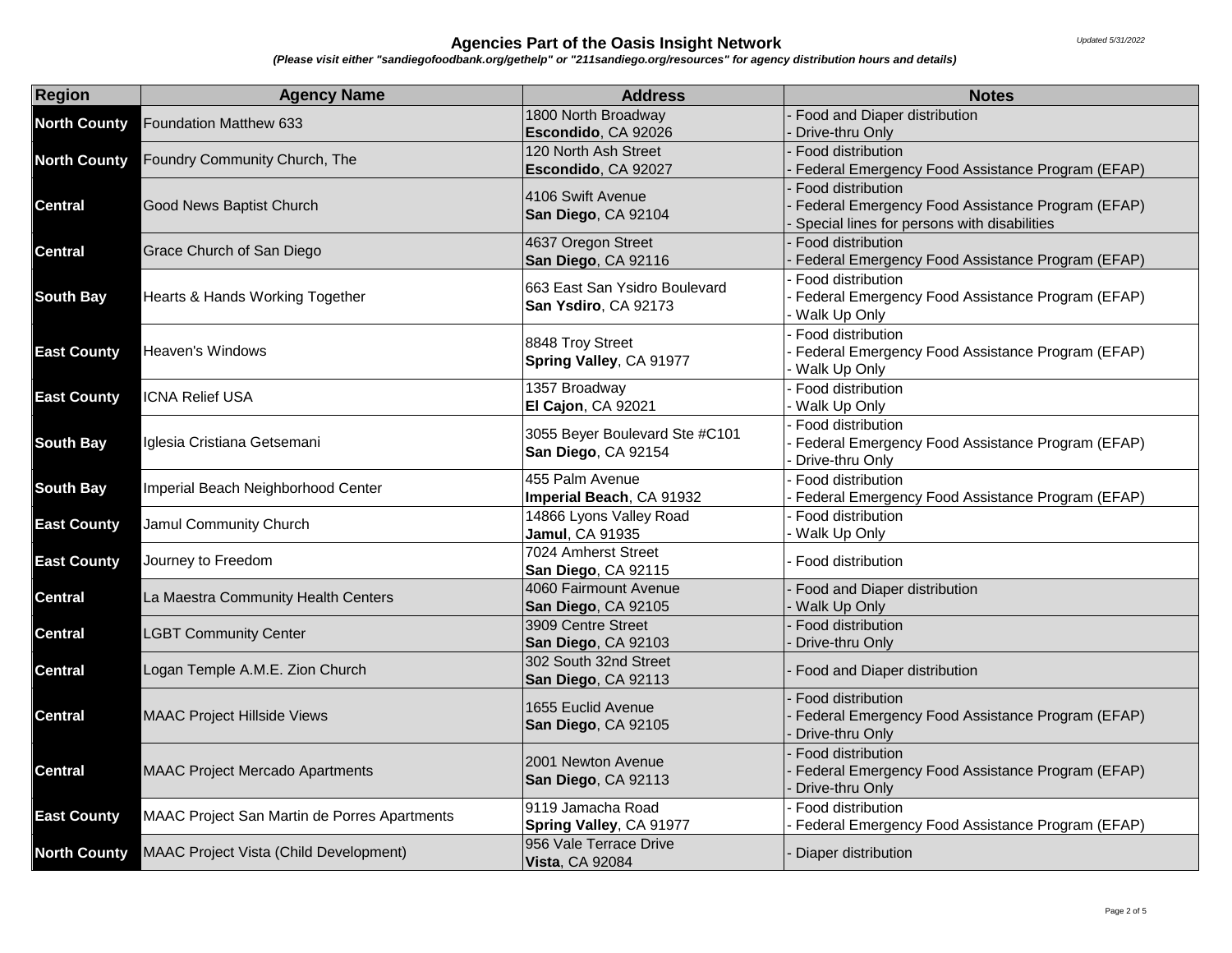| <b>Region</b>       | <b>Agency Name</b>                                                           | <b>Address</b>                 | <b>Notes</b>                                                        |
|---------------------|------------------------------------------------------------------------------|--------------------------------|---------------------------------------------------------------------|
| <b>North County</b> | Foundation Matthew 633                                                       | 1800 North Broadway            | Food and Diaper distribution                                        |
|                     |                                                                              | Escondido, CA 92026            | Drive-thru Only                                                     |
| <b>North County</b> | Foundry Community Church, The                                                | 120 North Ash Street           | Food distribution                                                   |
|                     |                                                                              | Escondido, CA 92027            | Federal Emergency Food Assistance Program (EFAP)                    |
| <b>Central</b>      | Good News Baptist Church                                                     | 4106 Swift Avenue              | Food distribution                                                   |
|                     |                                                                              | San Diego, CA 92104            | Federal Emergency Food Assistance Program (EFAP)                    |
|                     |                                                                              |                                | Special lines for persons with disabilities                         |
| <b>Central</b>      | Grace Church of San Diego                                                    | 4637 Oregon Street             | Food distribution                                                   |
|                     |                                                                              | San Diego, CA 92116            | Federal Emergency Food Assistance Program (EFAP)                    |
|                     | Hearts & Hands Working Together                                              | 663 East San Ysidro Boulevard  | Food distribution                                                   |
| <b>South Bay</b>    |                                                                              | San Ysdiro, CA 92173           | Federal Emergency Food Assistance Program (EFAP)                    |
|                     |                                                                              |                                | Walk Up Only                                                        |
|                     |                                                                              | 8848 Troy Street               | Food distribution                                                   |
| <b>East County</b>  | Heaven's Windows                                                             | Spring Valley, CA 91977        | Federal Emergency Food Assistance Program (EFAP)                    |
|                     |                                                                              | 1357 Broadway                  | Walk Up Only<br>Food distribution                                   |
| <b>East County</b>  | <b>ICNA Relief USA</b>                                                       | El Cajon, CA 92021             | Walk Up Only                                                        |
|                     |                                                                              |                                | Food distribution                                                   |
| <b>South Bay</b>    | Iglesia Cristiana Getsemani                                                  | 3055 Beyer Boulevard Ste #C101 | Federal Emergency Food Assistance Program (EFAP)                    |
|                     |                                                                              | San Diego, CA 92154            | Drive-thru Only                                                     |
|                     | Imperial Beach Neighborhood Center                                           | 455 Palm Avenue                | Food distribution                                                   |
| <b>South Bay</b>    |                                                                              | Imperial Beach, CA 91932       | Federal Emergency Food Assistance Program (EFAP)                    |
|                     | Jamul Community Church                                                       | 14866 Lyons Valley Road        | Food distribution                                                   |
| <b>East County</b>  |                                                                              | <b>Jamul, CA 91935</b>         | Walk Up Only                                                        |
| <b>East County</b>  | Journey to Freedom                                                           | 7024 Amherst Street            | Food distribution                                                   |
|                     |                                                                              | San Diego, CA 92115            |                                                                     |
| <b>Central</b>      | La Maestra Community Health Centers                                          | 4060 Fairmount Avenue          | Food and Diaper distribution                                        |
|                     |                                                                              | San Diego, CA 92105            | Walk Up Only                                                        |
| <b>Central</b>      | <b>LGBT Community Center</b>                                                 | 3909 Centre Street             | Food distribution                                                   |
|                     |                                                                              | San Diego, CA 92103            | Drive-thru Only                                                     |
| <b>Central</b>      | Logan Temple A.M.E. Zion Church                                              | 302 South 32nd Street          | Food and Diaper distribution                                        |
|                     |                                                                              | San Diego, CA 92113            |                                                                     |
|                     | <b>MAAC Project Hillside Views</b><br><b>MAAC Project Mercado Apartments</b> | 1655 Euclid Avenue             | Food distribution                                                   |
| <b>Central</b>      |                                                                              | San Diego, CA 92105            | Federal Emergency Food Assistance Program (EFAP)                    |
|                     |                                                                              |                                | Drive-thru Only                                                     |
| <b>Central</b>      |                                                                              | 2001 Newton Avenue             | Food distribution                                                   |
|                     |                                                                              | San Diego, CA 92113            | Federal Emergency Food Assistance Program (EFAP)<br>Drive-thru Only |
| <b>East County</b>  | MAAC Project San Martin de Porres Apartments                                 | 9119 Jamacha Road              | Food distribution                                                   |
|                     |                                                                              | Spring Valley, CA 91977        | Federal Emergency Food Assistance Program (EFAP)                    |
|                     | <b>MAAC Project Vista (Child Development)</b>                                | 956 Vale Terrace Drive         |                                                                     |
| <b>North County</b> |                                                                              | <b>Vista, CA 92084</b>         | Diaper distribution                                                 |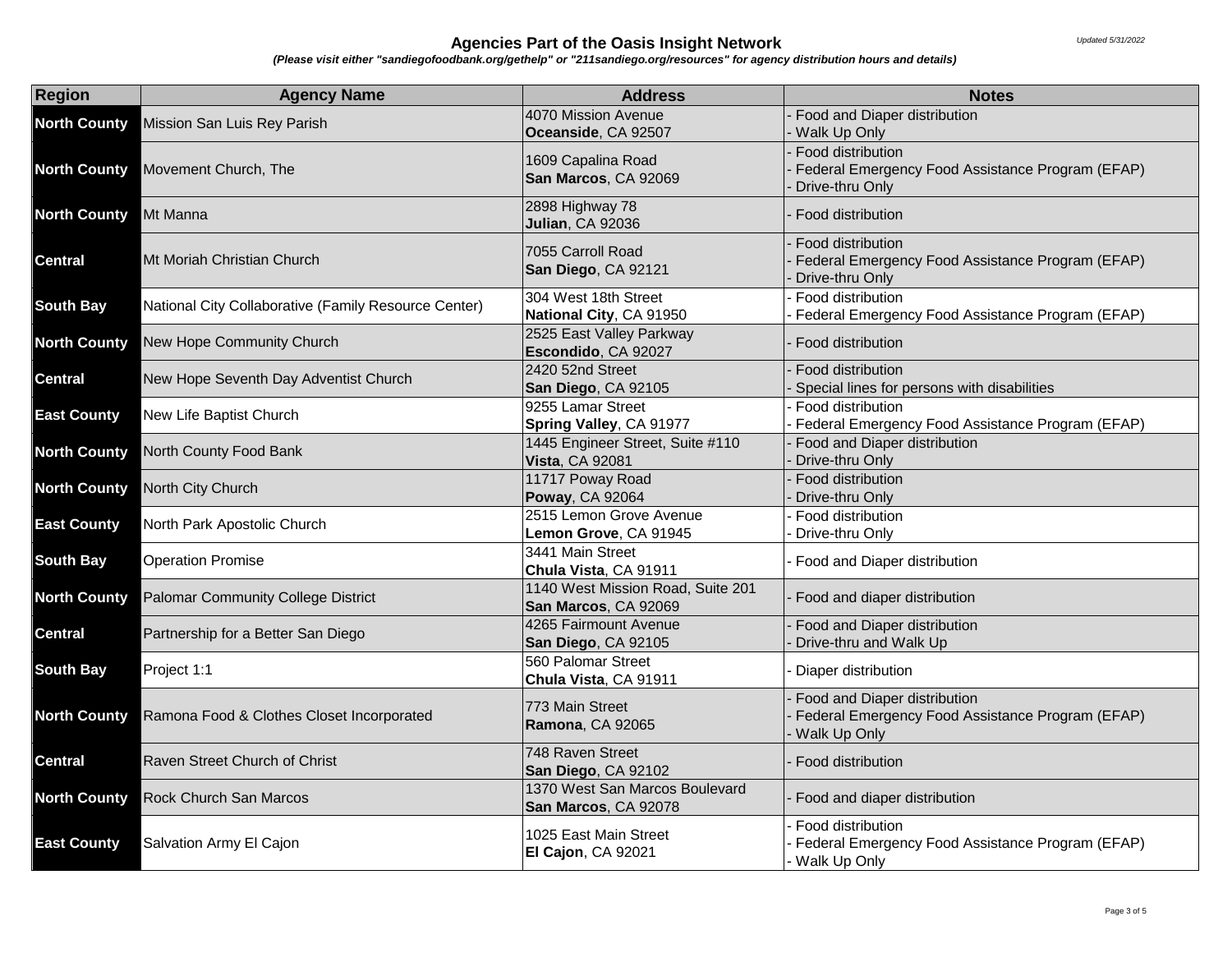| <b>Region</b>       | <b>Agency Name</b>                                   | <b>Address</b>                                             | <b>Notes</b>                                                                                     |
|---------------------|------------------------------------------------------|------------------------------------------------------------|--------------------------------------------------------------------------------------------------|
| <b>North County</b> | Mission San Luis Rey Parish                          | 4070 Mission Avenue<br>Oceanside, CA 92507                 | Food and Diaper distribution<br>Walk Up Only                                                     |
| <b>North County</b> | Movement Church, The                                 | 1609 Capalina Road<br>San Marcos, CA 92069                 | Food distribution<br>Federal Emergency Food Assistance Program (EFAP)<br>Drive-thru Only         |
| <b>North County</b> | Mt Manna                                             | 2898 Highway 78<br><b>Julian, CA 92036</b>                 | Food distribution                                                                                |
| <b>Central</b>      | Mt Moriah Christian Church                           | 7055 Carroll Road<br>San Diego, CA 92121                   | Food distribution<br>Federal Emergency Food Assistance Program (EFAP)<br>Drive-thru Only         |
| <b>South Bay</b>    | National City Collaborative (Family Resource Center) | 304 West 18th Street<br>National City, CA 91950            | Food distribution<br>Federal Emergency Food Assistance Program (EFAP)                            |
| <b>North County</b> | New Hope Community Church                            | 2525 East Valley Parkway<br>Escondido, CA 92027            | Food distribution                                                                                |
| <b>Central</b>      | New Hope Seventh Day Adventist Church                | 2420 52nd Street<br>San Diego, CA 92105                    | Food distribution<br>Special lines for persons with disabilities                                 |
| <b>East County</b>  | New Life Baptist Church                              | 9255 Lamar Street<br>Spring Valley, CA 91977               | Food distribution<br>Federal Emergency Food Assistance Program (EFAP)                            |
| <b>North County</b> | North County Food Bank                               | 1445 Engineer Street, Suite #110<br><b>Vista, CA 92081</b> | Food and Diaper distribution<br>Drive-thru Only                                                  |
| <b>North County</b> | North City Church                                    | 11717 Poway Road<br>Poway, CA 92064                        | Food distribution<br>Drive-thru Only                                                             |
| <b>East County</b>  | North Park Apostolic Church                          | 2515 Lemon Grove Avenue<br>Lemon Grove, CA 91945           | Food distribution<br>Drive-thru Only                                                             |
| <b>South Bay</b>    | <b>Operation Promise</b>                             | 3441 Main Street<br>Chula Vista, CA 91911                  | Food and Diaper distribution                                                                     |
| <b>North County</b> | Palomar Community College District                   | 1140 West Mission Road, Suite 201<br>San Marcos, CA 92069  | Food and diaper distribution                                                                     |
| <b>Central</b>      | Partnership for a Better San Diego                   | 4265 Fairmount Avenue<br>San Diego, CA 92105               | Food and Diaper distribution<br>Drive-thru and Walk Up                                           |
| <b>South Bay</b>    | Project 1:1                                          | 560 Palomar Street<br>Chula Vista, CA 91911                | Diaper distribution                                                                              |
| <b>North County</b> | Ramona Food & Clothes Closet Incorporated            | 773 Main Street<br>Ramona, CA 92065                        | Food and Diaper distribution<br>Federal Emergency Food Assistance Program (EFAP)<br>Walk Up Only |
| <b>Central</b>      | Raven Street Church of Christ                        | 748 Raven Street<br>San Diego, CA 92102                    | Food distribution                                                                                |
| <b>North County</b> | Rock Church San Marcos                               | 1370 West San Marcos Boulevard<br>San Marcos, CA 92078     | Food and diaper distribution                                                                     |
| <b>East County</b>  | Salvation Army El Cajon                              | 1025 East Main Street<br>El Cajon, CA 92021                | Food distribution<br>Federal Emergency Food Assistance Program (EFAP)<br>Walk Up Only            |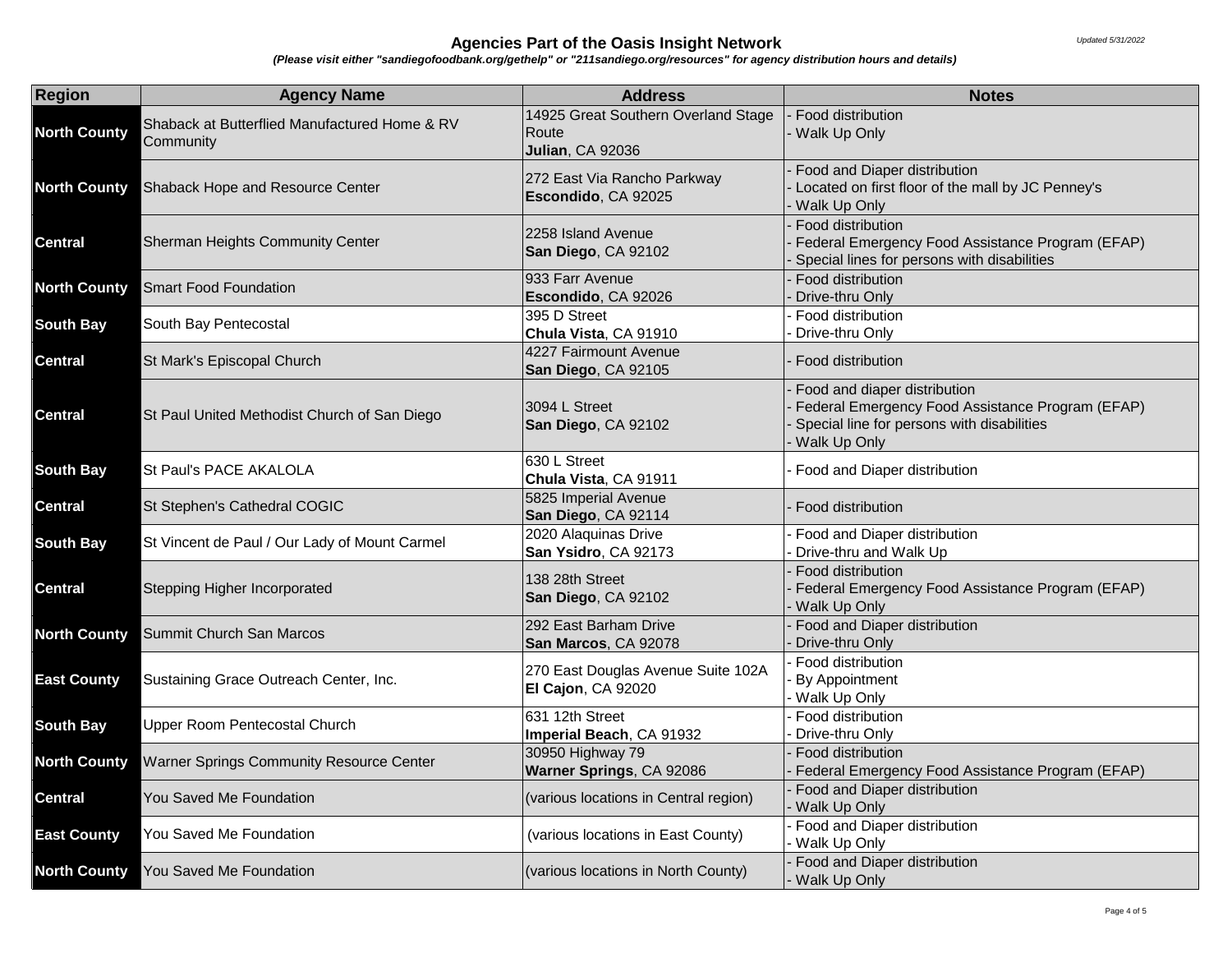| Region              | <b>Agency Name</b>                                         | <b>Address</b>                                                          | <b>Notes</b>                                                                                                                                   |
|---------------------|------------------------------------------------------------|-------------------------------------------------------------------------|------------------------------------------------------------------------------------------------------------------------------------------------|
| <b>North County</b> | Shaback at Butterflied Manufactured Home & RV<br>Community | 14925 Great Southern Overland Stage<br>Route<br><b>Julian, CA 92036</b> | Food distribution<br>Walk Up Only                                                                                                              |
| <b>North County</b> | Shaback Hope and Resource Center                           | 272 East Via Rancho Parkway<br>Escondido, CA 92025                      | Food and Diaper distribution<br>Located on first floor of the mall by JC Penney's<br>Walk Up Only                                              |
| <b>Central</b>      | Sherman Heights Community Center                           | 2258 Island Avenue<br>San Diego, CA 92102                               | Food distribution<br>Federal Emergency Food Assistance Program (EFAP)<br>Special lines for persons with disabilities                           |
| <b>North County</b> | <b>Smart Food Foundation</b>                               | 933 Farr Avenue<br>Escondido, CA 92026                                  | Food distribution<br>Drive-thru Only                                                                                                           |
| <b>South Bay</b>    | South Bay Pentecostal                                      | 395 D Street<br>Chula Vista, CA 91910                                   | Food distribution<br>Drive-thru Only                                                                                                           |
| <b>Central</b>      | St Mark's Episcopal Church                                 | 4227 Fairmount Avenue<br>San Diego, CA 92105                            | Food distribution                                                                                                                              |
| <b>Central</b>      | St Paul United Methodist Church of San Diego               | 3094 L Street<br>San Diego, CA 92102                                    | Food and diaper distribution<br>Federal Emergency Food Assistance Program (EFAP)<br>Special line for persons with disabilities<br>Walk Up Only |
| <b>South Bay</b>    | St Paul's PACE AKALOLA                                     | 630 L Street<br>Chula Vista, CA 91911                                   | Food and Diaper distribution                                                                                                                   |
| <b>Central</b>      | St Stephen's Cathedral COGIC                               | 5825 Imperial Avenue<br>San Diego, CA 92114                             | Food distribution                                                                                                                              |
| <b>South Bay</b>    | St Vincent de Paul / Our Lady of Mount Carmel              | 2020 Alaquinas Drive<br>San Ysidro, CA 92173                            | Food and Diaper distribution<br>Drive-thru and Walk Up                                                                                         |
| <b>Central</b>      | Stepping Higher Incorporated                               | 138 28th Street<br>San Diego, CA 92102                                  | Food distribution<br>Federal Emergency Food Assistance Program (EFAP)<br>Walk Up Only                                                          |
| <b>North County</b> | Summit Church San Marcos                                   | 292 East Barham Drive<br>San Marcos, CA 92078                           | Food and Diaper distribution<br>Drive-thru Only                                                                                                |
| <b>East County</b>  | Sustaining Grace Outreach Center, Inc.                     | 270 East Douglas Avenue Suite 102A<br>El Cajon, CA 92020                | Food distribution<br>By Appointment<br>Walk Up Only                                                                                            |
| <b>South Bay</b>    | <b>Upper Room Pentecostal Church</b>                       | 631 12th Street<br>Imperial Beach, CA 91932                             | Food distribution<br>Drive-thru Only                                                                                                           |
| <b>North County</b> | Warner Springs Community Resource Center                   | 30950 Highway 79<br>Warner Springs, CA 92086                            | Food distribution<br>Federal Emergency Food Assistance Program (EFAP)                                                                          |
| <b>Central</b>      | You Saved Me Foundation                                    | (various locations in Central region)                                   | Food and Diaper distribution<br>Walk Up Only                                                                                                   |
| <b>East County</b>  | You Saved Me Foundation                                    | (various locations in East County)                                      | Food and Diaper distribution<br>Walk Up Only                                                                                                   |
| <b>North County</b> | You Saved Me Foundation                                    | (various locations in North County)                                     | Food and Diaper distribution<br>Walk Up Only                                                                                                   |